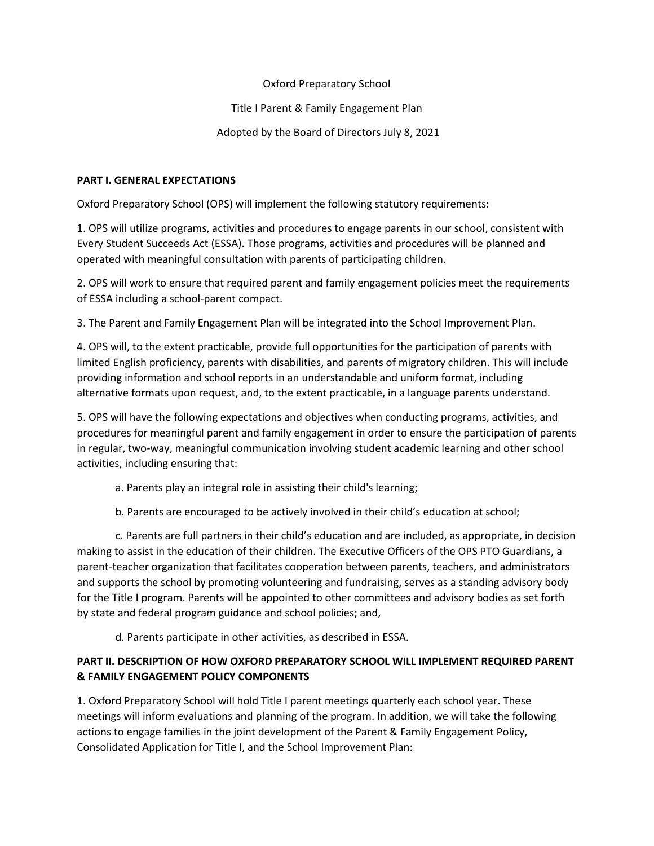## Oxford Preparatory School

## Title I Parent & Family Engagement Plan

## Adopted by the Board of Directors July 8, 2021

### **PART I. GENERAL EXPECTATIONS**

Oxford Preparatory School (OPS) will implement the following statutory requirements:

1. OPS will utilize programs, activities and procedures to engage parents in our school, consistent with Every Student Succeeds Act (ESSA). Those programs, activities and procedures will be planned and operated with meaningful consultation with parents of participating children.

2. OPS will work to ensure that required parent and family engagement policies meet the requirements of ESSA including a school-parent compact.

3. The Parent and Family Engagement Plan will be integrated into the School Improvement Plan.

4. OPS will, to the extent practicable, provide full opportunities for the participation of parents with limited English proficiency, parents with disabilities, and parents of migratory children. This will include providing information and school reports in an understandable and uniform format, including alternative formats upon request, and, to the extent practicable, in a language parents understand.

5. OPS will have the following expectations and objectives when conducting programs, activities, and procedures for meaningful parent and family engagement in order to ensure the participation of parents in regular, two-way, meaningful communication involving student academic learning and other school activities, including ensuring that:

- a. Parents play an integral role in assisting their child's learning;
- b. Parents are encouraged to be actively involved in their child's education at school;

c. Parents are full partners in their child's education and are included, as appropriate, in decision making to assist in the education of their children. The Executive Officers of the OPS PTO Guardians, a parent-teacher organization that facilitates cooperation between parents, teachers, and administrators and supports the school by promoting volunteering and fundraising, serves as a standing advisory body for the Title I program. Parents will be appointed to other committees and advisory bodies as set forth by state and federal program guidance and school policies; and,

d. Parents participate in other activities, as described in ESSA.

# **PART II. DESCRIPTION OF HOW OXFORD PREPARATORY SCHOOL WILL IMPLEMENT REQUIRED PARENT & FAMILY ENGAGEMENT POLICY COMPONENTS**

1. Oxford Preparatory School will hold Title I parent meetings quarterly each school year. These meetings will inform evaluations and planning of the program. In addition, we will take the following actions to engage families in the joint development of the Parent & Family Engagement Policy, Consolidated Application for Title I, and the School Improvement Plan: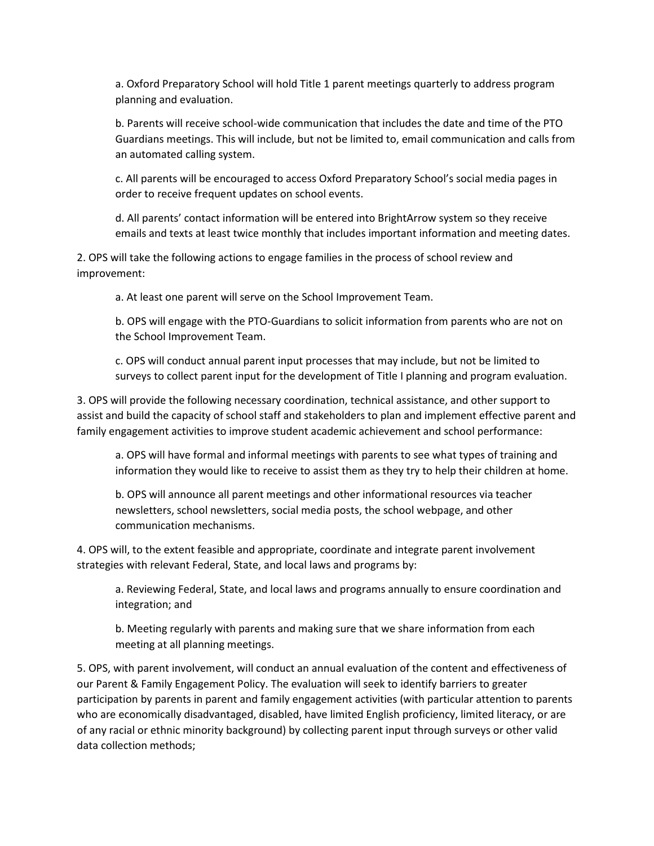a. Oxford Preparatory School will hold Title 1 parent meetings quarterly to address program planning and evaluation.

b. Parents will receive school-wide communication that includes the date and time of the PTO Guardians meetings. This will include, but not be limited to, email communication and calls from an automated calling system.

c. All parents will be encouraged to access Oxford Preparatory School's social media pages in order to receive frequent updates on school events.

d. All parents' contact information will be entered into BrightArrow system so they receive emails and texts at least twice monthly that includes important information and meeting dates.

2. OPS will take the following actions to engage families in the process of school review and improvement:

a. At least one parent will serve on the School Improvement Team.

b. OPS will engage with the PTO-Guardians to solicit information from parents who are not on the School Improvement Team.

c. OPS will conduct annual parent input processes that may include, but not be limited to surveys to collect parent input for the development of Title I planning and program evaluation.

3. OPS will provide the following necessary coordination, technical assistance, and other support to assist and build the capacity of school staff and stakeholders to plan and implement effective parent and family engagement activities to improve student academic achievement and school performance:

a. OPS will have formal and informal meetings with parents to see what types of training and information they would like to receive to assist them as they try to help their children at home.

b. OPS will announce all parent meetings and other informational resources via teacher newsletters, school newsletters, social media posts, the school webpage, and other communication mechanisms.

4. OPS will, to the extent feasible and appropriate, coordinate and integrate parent involvement strategies with relevant Federal, State, and local laws and programs by:

a. Reviewing Federal, State, and local laws and programs annually to ensure coordination and integration; and

b. Meeting regularly with parents and making sure that we share information from each meeting at all planning meetings.

5. OPS, with parent involvement, will conduct an annual evaluation of the content and effectiveness of our Parent & Family Engagement Policy. The evaluation will seek to identify barriers to greater participation by parents in parent and family engagement activities (with particular attention to parents who are economically disadvantaged, disabled, have limited English proficiency, limited literacy, or are of any racial or ethnic minority background) by collecting parent input through surveys or other valid data collection methods;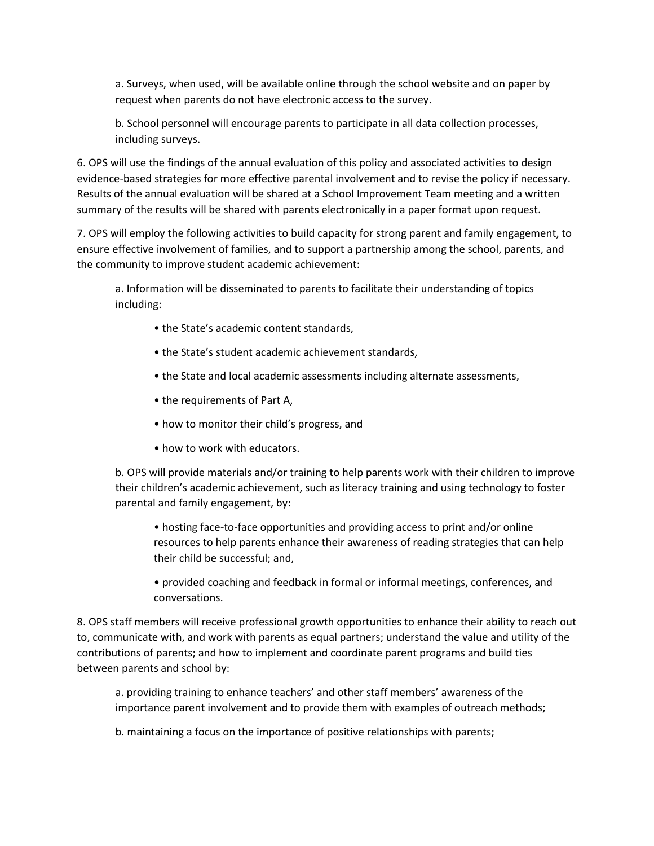a. Surveys, when used, will be available online through the school website and on paper by request when parents do not have electronic access to the survey.

b. School personnel will encourage parents to participate in all data collection processes, including surveys.

6. OPS will use the findings of the annual evaluation of this policy and associated activities to design evidence-based strategies for more effective parental involvement and to revise the policy if necessary. Results of the annual evaluation will be shared at a School Improvement Team meeting and a written summary of the results will be shared with parents electronically in a paper format upon request.

7. OPS will employ the following activities to build capacity for strong parent and family engagement, to ensure effective involvement of families, and to support a partnership among the school, parents, and the community to improve student academic achievement:

a. Information will be disseminated to parents to facilitate their understanding of topics including:

- the State's academic content standards,
- the State's student academic achievement standards,
- the State and local academic assessments including alternate assessments,
- the requirements of Part A,
- how to monitor their child's progress, and
- how to work with educators.

b. OPS will provide materials and/or training to help parents work with their children to improve their children's academic achievement, such as literacy training and using technology to foster parental and family engagement, by:

• hosting face-to-face opportunities and providing access to print and/or online resources to help parents enhance their awareness of reading strategies that can help their child be successful; and,

• provided coaching and feedback in formal or informal meetings, conferences, and conversations.

8. OPS staff members will receive professional growth opportunities to enhance their ability to reach out to, communicate with, and work with parents as equal partners; understand the value and utility of the contributions of parents; and how to implement and coordinate parent programs and build ties between parents and school by:

a. providing training to enhance teachers' and other staff members' awareness of the importance parent involvement and to provide them with examples of outreach methods;

b. maintaining a focus on the importance of positive relationships with parents;